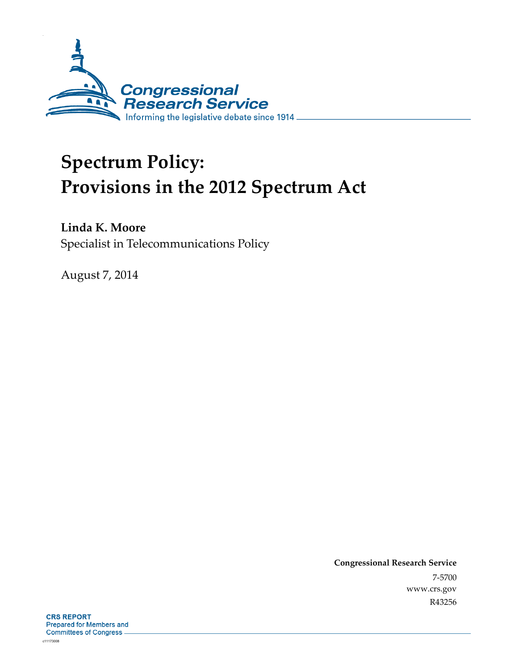

# **Spectrum Policy: Provisions in the 2012 Spectrum Act**

**Linda K. Moore** 

Specialist in Telecommunications Policy

August 7, 2014

**Congressional Research Service**  7-5700 www.crs.gov R43256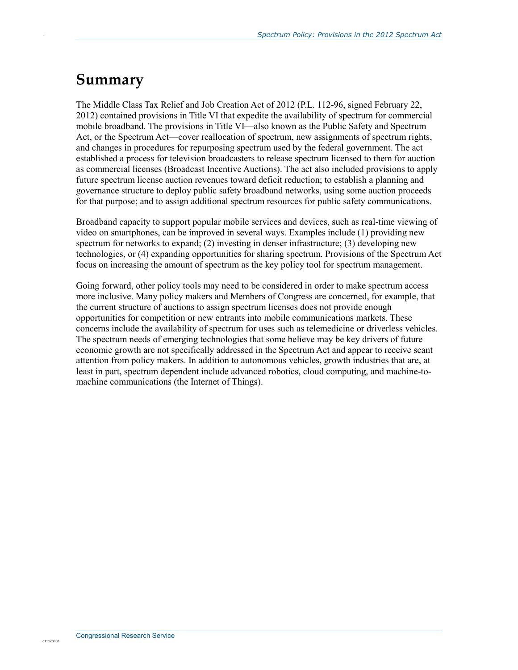## **Summary**

.

The Middle Class Tax Relief and Job Creation Act of 2012 (P.L. 112-96, signed February 22, 2012) contained provisions in Title VI that expedite the availability of spectrum for commercial mobile broadband. The provisions in Title VI—also known as the Public Safety and Spectrum Act, or the Spectrum Act—cover reallocation of spectrum, new assignments of spectrum rights, and changes in procedures for repurposing spectrum used by the federal government. The act established a process for television broadcasters to release spectrum licensed to them for auction as commercial licenses (Broadcast Incentive Auctions). The act also included provisions to apply future spectrum license auction revenues toward deficit reduction; to establish a planning and governance structure to deploy public safety broadband networks, using some auction proceeds for that purpose; and to assign additional spectrum resources for public safety communications.

Broadband capacity to support popular mobile services and devices, such as real-time viewing of video on smartphones, can be improved in several ways. Examples include (1) providing new spectrum for networks to expand; (2) investing in denser infrastructure; (3) developing new technologies, or (4) expanding opportunities for sharing spectrum. Provisions of the Spectrum Act focus on increasing the amount of spectrum as the key policy tool for spectrum management.

Going forward, other policy tools may need to be considered in order to make spectrum access more inclusive. Many policy makers and Members of Congress are concerned, for example, that the current structure of auctions to assign spectrum licenses does not provide enough opportunities for competition or new entrants into mobile communications markets. These concerns include the availability of spectrum for uses such as telemedicine or driverless vehicles. The spectrum needs of emerging technologies that some believe may be key drivers of future economic growth are not specifically addressed in the Spectrum Act and appear to receive scant attention from policy makers. In addition to autonomous vehicles, growth industries that are, at least in part, spectrum dependent include advanced robotics, cloud computing, and machine-tomachine communications (the Internet of Things).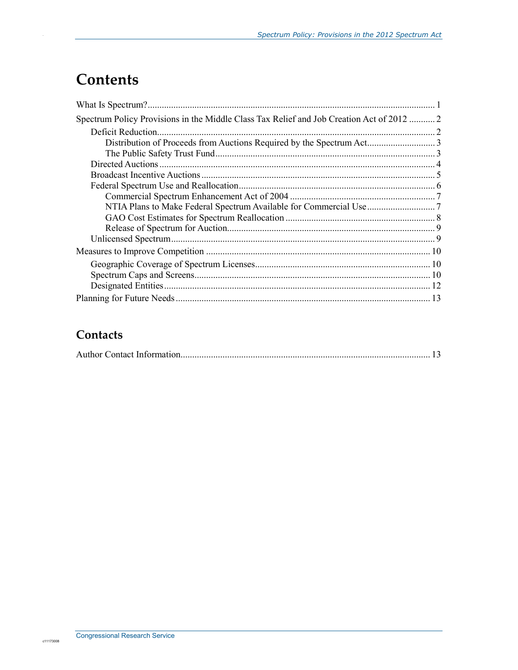## **Contents**

.

| Spectrum Policy Provisions in the Middle Class Tax Relief and Job Creation Act of 2012  2 |  |
|-------------------------------------------------------------------------------------------|--|
|                                                                                           |  |
|                                                                                           |  |
|                                                                                           |  |
|                                                                                           |  |
|                                                                                           |  |
|                                                                                           |  |
|                                                                                           |  |
|                                                                                           |  |
|                                                                                           |  |
|                                                                                           |  |
|                                                                                           |  |
|                                                                                           |  |
|                                                                                           |  |
|                                                                                           |  |
|                                                                                           |  |
|                                                                                           |  |

### **Contacts**

|--|--|--|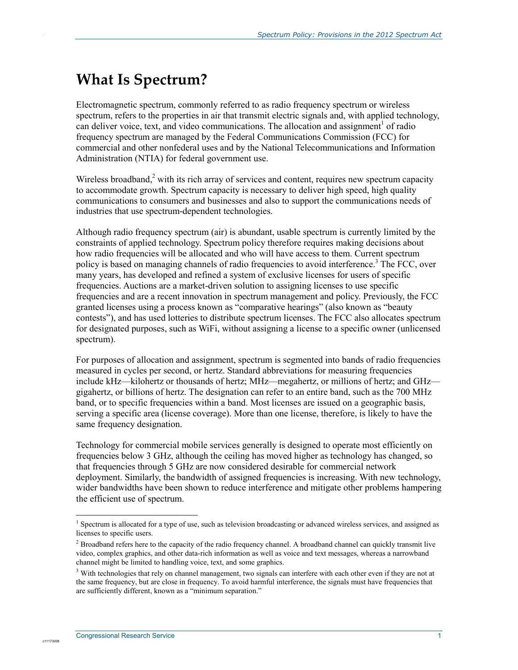## **What Is Spectrum?**

.

Electromagnetic spectrum, commonly referred to as radio frequency spectrum or wireless spectrum, refers to the properties in air that transmit electric signals and, with applied technology, can deliver voice, text, and video communications. The allocation and assignment<sup>1</sup> of radio frequency spectrum are managed by the Federal Communications Commission (FCC) for commercial and other nonfederal uses and by the National Telecommunications and Information Administration (NTIA) for federal government use.

Wireless broadband, $2$  with its rich array of services and content, requires new spectrum capacity to accommodate growth. Spectrum capacity is necessary to deliver high speed, high quality communications to consumers and businesses and also to support the communications needs of industries that use spectrum-dependent technologies.

Although radio frequency spectrum (air) is abundant, usable spectrum is currently limited by the constraints of applied technology. Spectrum policy therefore requires making decisions about how radio frequencies will be allocated and who will have access to them. Current spectrum policy is based on managing channels of radio frequencies to avoid interference.<sup>3</sup> The FCC, over many years, has developed and refined a system of exclusive licenses for users of specific frequencies. Auctions are a market-driven solution to assigning licenses to use specific frequencies and are a recent innovation in spectrum management and policy. Previously, the FCC granted licenses using a process known as "comparative hearings" (also known as "beauty contests"), and has used lotteries to distribute spectrum licenses. The FCC also allocates spectrum for designated purposes, such as WiFi, without assigning a license to a specific owner (unlicensed spectrum).

For purposes of allocation and assignment, spectrum is segmented into bands of radio frequencies measured in cycles per second, or hertz. Standard abbreviations for measuring frequencies include kHz—kilohertz or thousands of hertz; MHz—megahertz, or millions of hertz; and GHz gigahertz, or billions of hertz. The designation can refer to an entire band, such as the 700 MHz band, or to specific frequencies within a band. Most licenses are issued on a geographic basis, serving a specific area (license coverage). More than one license, therefore, is likely to have the same frequency designation.

Technology for commercial mobile services generally is designed to operate most efficiently on frequencies below 3 GHz, although the ceiling has moved higher as technology has changed, so that frequencies through 5 GHz are now considered desirable for commercial network deployment. Similarly, the bandwidth of assigned frequencies is increasing. With new technology, wider bandwidths have been shown to reduce interference and mitigate other problems hampering the efficient use of spectrum.

1

<sup>&</sup>lt;sup>1</sup> Spectrum is allocated for a type of use, such as television broadcasting or advanced wireless services, and assigned as licenses to specific users.

<sup>&</sup>lt;sup>2</sup> Broadband refers here to the capacity of the radio frequency channel. A broadband channel can quickly transmit live video, complex graphics, and other data-rich information as well as voice and text messages, whereas a narrowband channel might be limited to handling voice, text, and some graphics.

<sup>&</sup>lt;sup>3</sup> With technologies that rely on channel management, two signals can interfere with each other even if they are not at the same frequency, but are close in frequency. To avoid harmful interference, the signals must have frequencies that are sufficiently different, known as a "minimum separation."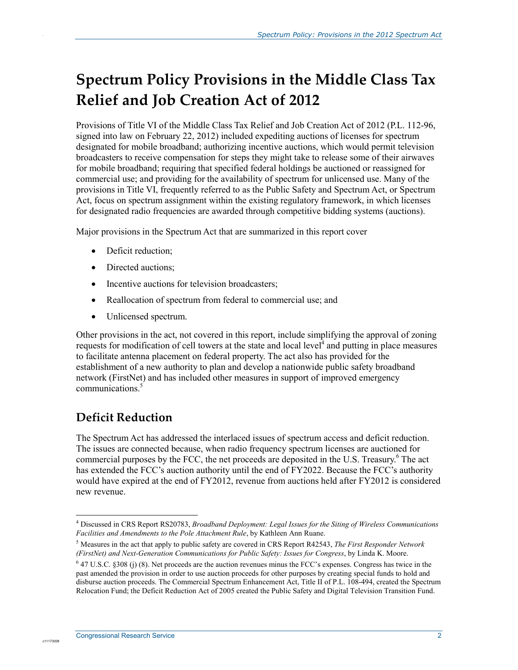## **Spectrum Policy Provisions in the Middle Class Tax Relief and Job Creation Act of 2012**

Provisions of Title VI of the Middle Class Tax Relief and Job Creation Act of 2012 (P.L. 112-96, signed into law on February 22, 2012) included expediting auctions of licenses for spectrum designated for mobile broadband; authorizing incentive auctions, which would permit television broadcasters to receive compensation for steps they might take to release some of their airwaves for mobile broadband; requiring that specified federal holdings be auctioned or reassigned for commercial use; and providing for the availability of spectrum for unlicensed use. Many of the provisions in Title VI, frequently referred to as the Public Safety and Spectrum Act, or Spectrum Act, focus on spectrum assignment within the existing regulatory framework, in which licenses for designated radio frequencies are awarded through competitive bidding systems (auctions).

Major provisions in the Spectrum Act that are summarized in this report cover

• Deficit reduction;

.

- Directed auctions;
- Incentive auctions for television broadcasters;
- Reallocation of spectrum from federal to commercial use; and
- Unlicensed spectrum.

Other provisions in the act, not covered in this report, include simplifying the approval of zoning requests for modification of cell towers at the state and local level $\hat{A}$  and putting in place measures to facilitate antenna placement on federal property. The act also has provided for the establishment of a new authority to plan and develop a nationwide public safety broadband network (FirstNet) and has included other measures in support of improved emergency communications<sup>5</sup>

## **Deficit Reduction**

The Spectrum Act has addressed the interlaced issues of spectrum access and deficit reduction. The issues are connected because, when radio frequency spectrum licenses are auctioned for commercial purposes by the FCC, the net proceeds are deposited in the U.S. Treasury.<sup>6</sup> The act has extended the FCC's auction authority until the end of FY2022. Because the FCC's authority would have expired at the end of FY2012, revenue from auctions held after FY2012 is considered new revenue.

<sup>1</sup> 4 Discussed in CRS Report RS20783, *Broadband Deployment: Legal Issues for the Siting of Wireless Communications Facilities and Amendments to the Pole Attachment Rule*, by Kathleen Ann Ruane.

<sup>5</sup> Measures in the act that apply to public safety are covered in CRS Report R42543, *The First Responder Network (FirstNet) and Next-Generation Communications for Public Safety: Issues for Congress*, by Linda K. Moore.

 $6$  47 U.S.C. §308 (j) (8). Net proceeds are the auction revenues minus the FCC's expenses. Congress has twice in the past amended the provision in order to use auction proceeds for other purposes by creating special funds to hold and disburse auction proceeds. The Commercial Spectrum Enhancement Act, Title II of P.L. 108-494, created the Spectrum Relocation Fund; the Deficit Reduction Act of 2005 created the Public Safety and Digital Television Transition Fund.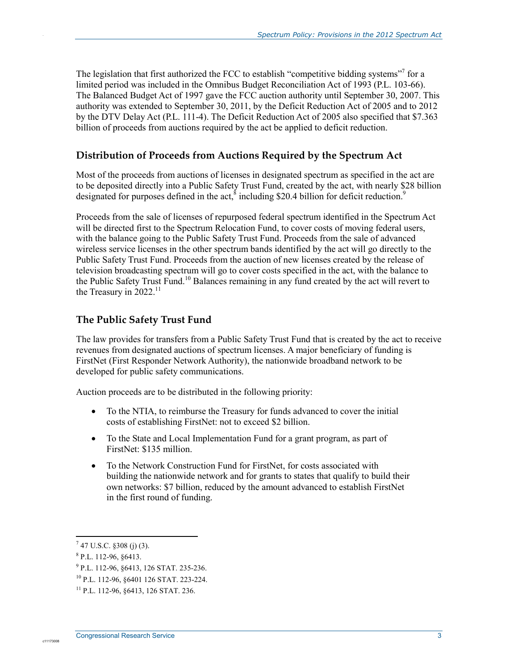The legislation that first authorized the FCC to establish "competitive bidding systems"<sup>7</sup> for a limited period was included in the Omnibus Budget Reconciliation Act of 1993 (P.L. 103-66). The Balanced Budget Act of 1997 gave the FCC auction authority until September 30, 2007. This authority was extended to September 30, 2011, by the Deficit Reduction Act of 2005 and to 2012 by the DTV Delay Act (P.L. 111-4). The Deficit Reduction Act of 2005 also specified that \$7.363 billion of proceeds from auctions required by the act be applied to deficit reduction.

#### **Distribution of Proceeds from Auctions Required by the Spectrum Act**

Most of the proceeds from auctions of licenses in designated spectrum as specified in the act are to be deposited directly into a Public Safety Trust Fund, created by the act, with nearly \$28 billion designated for purposes defined in the act,  $\delta$  including \$20.4 billion for deficit reduction.<sup>9</sup>

Proceeds from the sale of licenses of repurposed federal spectrum identified in the Spectrum Act will be directed first to the Spectrum Relocation Fund, to cover costs of moving federal users, with the balance going to the Public Safety Trust Fund. Proceeds from the sale of advanced wireless service licenses in the other spectrum bands identified by the act will go directly to the Public Safety Trust Fund. Proceeds from the auction of new licenses created by the release of television broadcasting spectrum will go to cover costs specified in the act, with the balance to the Public Safety Trust Fund.<sup>10</sup> Balances remaining in any fund created by the act will revert to the Treasury in  $2022$ <sup>11</sup>

#### **The Public Safety Trust Fund**

The law provides for transfers from a Public Safety Trust Fund that is created by the act to receive revenues from designated auctions of spectrum licenses. A major beneficiary of funding is FirstNet (First Responder Network Authority), the nationwide broadband network to be developed for public safety communications.

Auction proceeds are to be distributed in the following priority:

- To the NTIA, to reimburse the Treasury for funds advanced to cover the initial costs of establishing FirstNet: not to exceed \$2 billion.
- To the State and Local Implementation Fund for a grant program, as part of FirstNet: \$135 million.
- To the Network Construction Fund for FirstNet, for costs associated with building the nationwide network and for grants to states that qualify to build their own networks: \$7 billion, reduced by the amount advanced to establish FirstNet in the first round of funding.

1

c11173008

 $7$  47 U.S.C. §308 (j) (3).

<sup>8</sup> P.L. 112-96, §6413.

<sup>9</sup> P.L. 112-96, §6413, 126 STAT. 235-236.

<sup>10</sup> P.L. 112-96, §6401 126 STAT. 223-224.

<sup>11</sup> P.L. 112-96, §6413, 126 STAT. 236.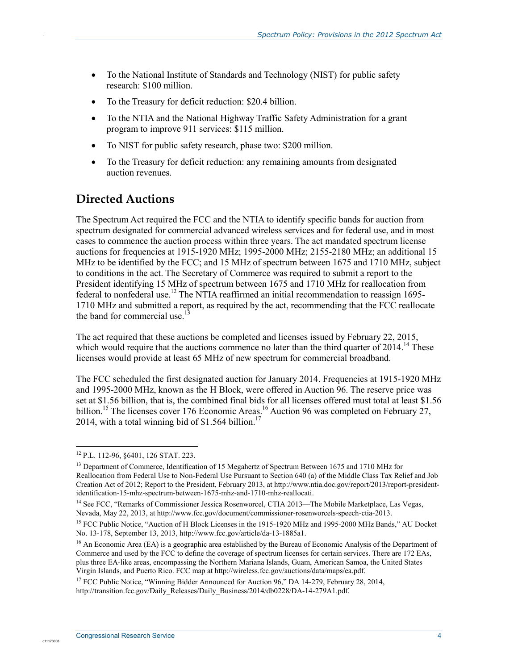- To the National Institute of Standards and Technology (NIST) for public safety research: \$100 million.
- To the Treasury for deficit reduction: \$20.4 billion.
- To the NTIA and the National Highway Traffic Safety Administration for a grant program to improve 911 services: \$115 million.
- To NIST for public safety research, phase two: \$200 million.
- To the Treasury for deficit reduction: any remaining amounts from designated auction revenues.

## **Directed Auctions**

.

The Spectrum Act required the FCC and the NTIA to identify specific bands for auction from spectrum designated for commercial advanced wireless services and for federal use, and in most cases to commence the auction process within three years. The act mandated spectrum license auctions for frequencies at 1915-1920 MHz; 1995-2000 MHz; 2155-2180 MHz; an additional 15 MHz to be identified by the FCC; and 15 MHz of spectrum between 1675 and 1710 MHz, subject to conditions in the act. The Secretary of Commerce was required to submit a report to the President identifying 15 MHz of spectrum between 1675 and 1710 MHz for reallocation from federal to nonfederal use.12 The NTIA reaffirmed an initial recommendation to reassign 1695- 1710 MHz and submitted a report, as required by the act, recommending that the FCC reallocate the band for commercial use.<sup>1</sup>

The act required that these auctions be completed and licenses issued by February 22, 2015, which would require that the auctions commence no later than the third quarter of  $2014$ .<sup>14</sup> These licenses would provide at least 65 MHz of new spectrum for commercial broadband.

The FCC scheduled the first designated auction for January 2014. Frequencies at 1915-1920 MHz and 1995-2000 MHz, known as the H Block, were offered in Auction 96. The reserve price was set at \$1.56 billion, that is, the combined final bids for all licenses offered must total at least \$1.56 billion.<sup>15</sup> The licenses cover 176 Economic Areas.<sup>16</sup> Auction 96 was completed on February 27, 2014, with a total winning bid of  $$1.564$  billion.<sup>17</sup>

<sup>1</sup> 12 P.L. 112-96, §6401, 126 STAT. 223.

<sup>&</sup>lt;sup>13</sup> Department of Commerce, Identification of 15 Megahertz of Spectrum Between 1675 and 1710 MHz for Reallocation from Federal Use to Non-Federal Use Pursuant to Section 640 (a) of the Middle Class Tax Relief and Job Creation Act of 2012; Report to the President, February 2013, at http://www.ntia.doc.gov/report/2013/report-presidentidentification-15-mhz-spectrum-between-1675-mhz-and-1710-mhz-reallocati.

<sup>&</sup>lt;sup>14</sup> See FCC, "Remarks of Commissioner Jessica Rosenworcel, CTIA 2013—The Mobile Marketplace, Las Vegas, Nevada, May 22, 2013, at http://www.fcc.gov/document/commissioner-rosenworcels-speech-ctia-2013.

<sup>&</sup>lt;sup>15</sup> FCC Public Notice, "Auction of H Block Licenses in the 1915-1920 MHz and 1995-2000 MHz Bands," AU Docket No. 13-178, September 13, 2013, http://www.fcc.gov/article/da-13-1885a1.

<sup>&</sup>lt;sup>16</sup> An Economic Area (EA) is a geographic area established by the Bureau of Economic Analysis of the Department of Commerce and used by the FCC to define the coverage of spectrum licenses for certain services. There are 172 EAs, plus three EA-like areas, encompassing the Northern Mariana Islands, Guam, American Samoa, the United States Virgin Islands, and Puerto Rico. FCC map at http://wireless.fcc.gov/auctions/data/maps/ea.pdf.

<sup>&</sup>lt;sup>17</sup> FCC Public Notice, "Winning Bidder Announced for Auction 96," DA 14-279, February 28, 2014, http://transition.fcc.gov/Daily\_Releases/Daily\_Business/2014/db0228/DA-14-279A1.pdf.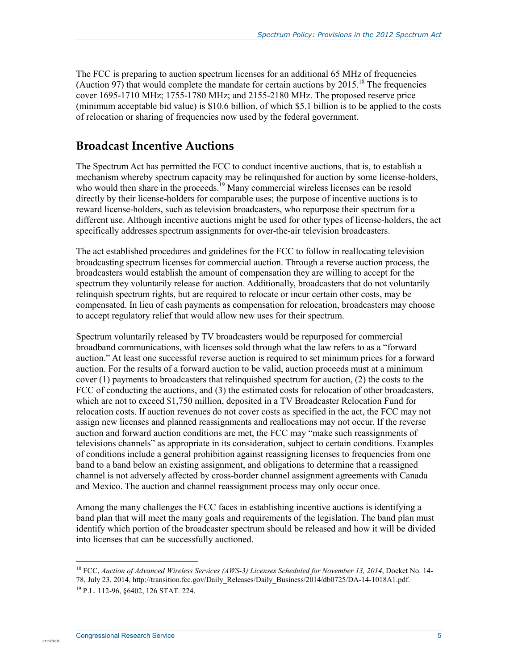The FCC is preparing to auction spectrum licenses for an additional 65 MHz of frequencies (Auction 97) that would complete the mandate for certain auctions by 2015.<sup>18</sup> The frequencies cover 1695-1710 MHz; 1755-1780 MHz; and 2155-2180 MHz. The proposed reserve price (minimum acceptable bid value) is \$10.6 billion, of which \$5.1 billion is to be applied to the costs of relocation or sharing of frequencies now used by the federal government.

### **Broadcast Incentive Auctions**

.

The Spectrum Act has permitted the FCC to conduct incentive auctions, that is, to establish a mechanism whereby spectrum capacity may be relinquished for auction by some license-holders, who would then share in the proceeds.<sup>19</sup> Many commercial wireless licenses can be resold directly by their license-holders for comparable uses; the purpose of incentive auctions is to reward license-holders, such as television broadcasters, who repurpose their spectrum for a different use. Although incentive auctions might be used for other types of license-holders, the act specifically addresses spectrum assignments for over-the-air television broadcasters.

The act established procedures and guidelines for the FCC to follow in reallocating television broadcasting spectrum licenses for commercial auction. Through a reverse auction process, the broadcasters would establish the amount of compensation they are willing to accept for the spectrum they voluntarily release for auction. Additionally, broadcasters that do not voluntarily relinquish spectrum rights, but are required to relocate or incur certain other costs, may be compensated. In lieu of cash payments as compensation for relocation, broadcasters may choose to accept regulatory relief that would allow new uses for their spectrum.

Spectrum voluntarily released by TV broadcasters would be repurposed for commercial broadband communications, with licenses sold through what the law refers to as a "forward auction." At least one successful reverse auction is required to set minimum prices for a forward auction. For the results of a forward auction to be valid, auction proceeds must at a minimum cover (1) payments to broadcasters that relinquished spectrum for auction, (2) the costs to the FCC of conducting the auctions, and (3) the estimated costs for relocation of other broadcasters, which are not to exceed \$1,750 million, deposited in a TV Broadcaster Relocation Fund for relocation costs. If auction revenues do not cover costs as specified in the act, the FCC may not assign new licenses and planned reassignments and reallocations may not occur. If the reverse auction and forward auction conditions are met, the FCC may "make such reassignments of televisions channels" as appropriate in its consideration, subject to certain conditions. Examples of conditions include a general prohibition against reassigning licenses to frequencies from one band to a band below an existing assignment, and obligations to determine that a reassigned channel is not adversely affected by cross-border channel assignment agreements with Canada and Mexico. The auction and channel reassignment process may only occur once.

Among the many challenges the FCC faces in establishing incentive auctions is identifying a band plan that will meet the many goals and requirements of the legislation. The band plan must identify which portion of the broadcaster spectrum should be released and how it will be divided into licenses that can be successfully auctioned.

1

<sup>18</sup> FCC, *Auction of Advanced Wireless Services (AWS-3) Licenses Scheduled for November 13, 2014*, Docket No. 14- 78, July 23, 2014, http://transition.fcc.gov/Daily\_Releases/Daily\_Business/2014/db0725/DA-14-1018A1.pdf. 19 P.L. 112-96, §6402, 126 STAT. 224.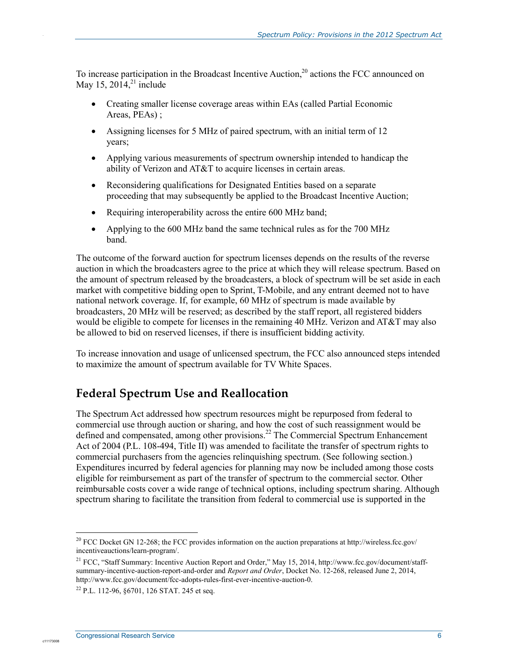To increase participation in the Broadcast Incentive Auction,<sup>20</sup> actions the FCC announced on May 15, 2014,<sup>21</sup> include

- Creating smaller license coverage areas within EAs (called Partial Economic Areas, PEAs) ;
- Assigning licenses for 5 MHz of paired spectrum, with an initial term of 12 years;
- Applying various measurements of spectrum ownership intended to handicap the ability of Verizon and AT&T to acquire licenses in certain areas.
- Reconsidering qualifications for Designated Entities based on a separate proceeding that may subsequently be applied to the Broadcast Incentive Auction;
- Requiring interoperability across the entire 600 MHz band;
- Applying to the 600 MHz band the same technical rules as for the 700 MHz band.

The outcome of the forward auction for spectrum licenses depends on the results of the reverse auction in which the broadcasters agree to the price at which they will release spectrum. Based on the amount of spectrum released by the broadcasters, a block of spectrum will be set aside in each market with competitive bidding open to Sprint, T-Mobile, and any entrant deemed not to have national network coverage. If, for example, 60 MHz of spectrum is made available by broadcasters, 20 MHz will be reserved; as described by the staff report, all registered bidders would be eligible to compete for licenses in the remaining 40 MHz. Verizon and AT&T may also be allowed to bid on reserved licenses, if there is insufficient bidding activity.

To increase innovation and usage of unlicensed spectrum, the FCC also announced steps intended to maximize the amount of spectrum available for TV White Spaces.

#### **Federal Spectrum Use and Reallocation**

The Spectrum Act addressed how spectrum resources might be repurposed from federal to commercial use through auction or sharing, and how the cost of such reassignment would be defined and compensated, among other provisions.<sup>22</sup> The Commercial Spectrum Enhancement Act of 2004 (P.L. 108-494, Title II) was amended to facilitate the transfer of spectrum rights to commercial purchasers from the agencies relinquishing spectrum. (See following section.) Expenditures incurred by federal agencies for planning may now be included among those costs eligible for reimbursement as part of the transfer of spectrum to the commercial sector. Other reimbursable costs cover a wide range of technical options, including spectrum sharing. Although spectrum sharing to facilitate the transition from federal to commercial use is supported in the

1

c1117300

<sup>&</sup>lt;sup>20</sup> FCC Docket GN 12-268; the FCC provides information on the auction preparations at http://wireless.fcc.gov/ incentiveauctions/learn-program/.

<sup>&</sup>lt;sup>21</sup> FCC, "Staff Summary: Incentive Auction Report and Order," May 15, 2014, http://www.fcc.gov/document/staffsummary-incentive-auction-report-and-order and *Report and Order*, Docket No. 12-268, released June 2, 2014, http://www.fcc.gov/document/fcc-adopts-rules-first-ever-incentive-auction-0.

 $^{22}$  P.L. 112-96, 86701, 126 STAT, 245 et seq.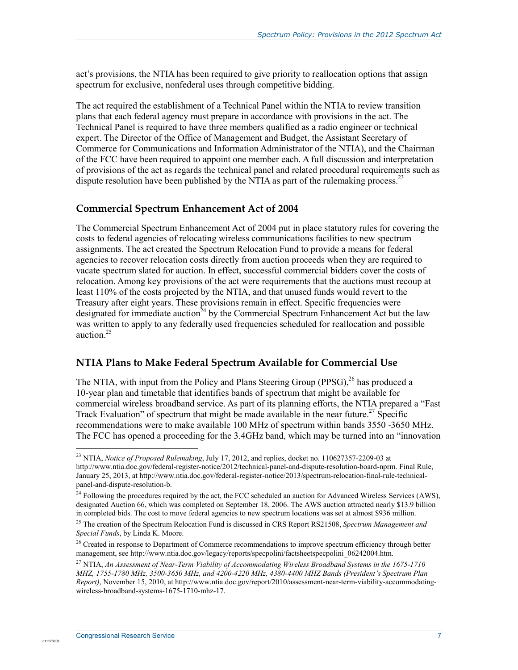act's provisions, the NTIA has been required to give priority to reallocation options that assign spectrum for exclusive, nonfederal uses through competitive bidding.

The act required the establishment of a Technical Panel within the NTIA to review transition plans that each federal agency must prepare in accordance with provisions in the act. The Technical Panel is required to have three members qualified as a radio engineer or technical expert. The Director of the Office of Management and Budget, the Assistant Secretary of Commerce for Communications and Information Administrator of the NTIA), and the Chairman of the FCC have been required to appoint one member each. A full discussion and interpretation of provisions of the act as regards the technical panel and related procedural requirements such as dispute resolution have been published by the NTIA as part of the rulemaking process.<sup>23</sup>

#### **Commercial Spectrum Enhancement Act of 2004**

The Commercial Spectrum Enhancement Act of 2004 put in place statutory rules for covering the costs to federal agencies of relocating wireless communications facilities to new spectrum assignments. The act created the Spectrum Relocation Fund to provide a means for federal agencies to recover relocation costs directly from auction proceeds when they are required to vacate spectrum slated for auction. In effect, successful commercial bidders cover the costs of relocation. Among key provisions of the act were requirements that the auctions must recoup at least 110% of the costs projected by the NTIA, and that unused funds would revert to the Treasury after eight years. These provisions remain in effect. Specific frequencies were designated for immediate auction<sup>24</sup> by the Commercial Spectrum Enhancement Act but the law was written to apply to any federally used frequencies scheduled for reallocation and possible auction.<sup>25</sup>

#### **NTIA Plans to Make Federal Spectrum Available for Commercial Use**

The NTIA, with input from the Policy and Plans Steering Group (PPSG),  $^{26}$  has produced a 10-year plan and timetable that identifies bands of spectrum that might be available for commercial wireless broadband service. As part of its planning efforts, the NTIA prepared a "Fast Track Evaluation" of spectrum that might be made available in the near future.<sup>27</sup> Specific recommendations were to make available 100 MHz of spectrum within bands 3550 -3650 MHz. The FCC has opened a proceeding for the 3.4GHz band, which may be turned into an "innovation

1

c1117300

<sup>23</sup> NTIA, *Notice of Proposed Rulemaking*, July 17, 2012, and replies, docket no. 110627357-2209-03 at http://www.ntia.doc.gov/federal-register-notice/2012/technical-panel-and-dispute-resolution-board-nprm. Final Rule, January 25, 2013, at http://www.ntia.doc.gov/federal-register-notice/2013/spectrum-relocation-final-rule-technicalpanel-and-dispute-resolution-b.

 $^{24}$  Following the procedures required by the act, the FCC scheduled an auction for Advanced Wireless Services (AWS), designated Auction 66, which was completed on September 18, 2006. The AWS auction attracted nearly \$13.9 billion in completed bids. The cost to move federal agencies to new spectrum locations was set at almost \$936 million.

<sup>25</sup> The creation of the Spectrum Relocation Fund is discussed in CRS Report RS21508, *Spectrum Management and Special Funds*, by Linda K. Moore.

<sup>&</sup>lt;sup>26</sup> Created in response to Department of Commerce recommendations to improve spectrum efficiency through better management, see http://www.ntia.doc.gov/legacy/reports/specpolini/factsheetspecpolini\_06242004.htm.

<sup>27</sup> NTIA, *An Assessment of Near-Term Viability of Accommodating Wireless Broadband Systems in the 1675-1710 MHZ, 1755-1780 MHz, 3500-3650 MHz, and 4200-4220 MHz, 4380-4400 MHZ Bands (President's Spectrum Plan Report)*, November 15, 2010, at http://www.ntia.doc.gov/report/2010/assessment-near-term-viability-accommodatingwireless-broadband-systems-1675-1710-mhz-17.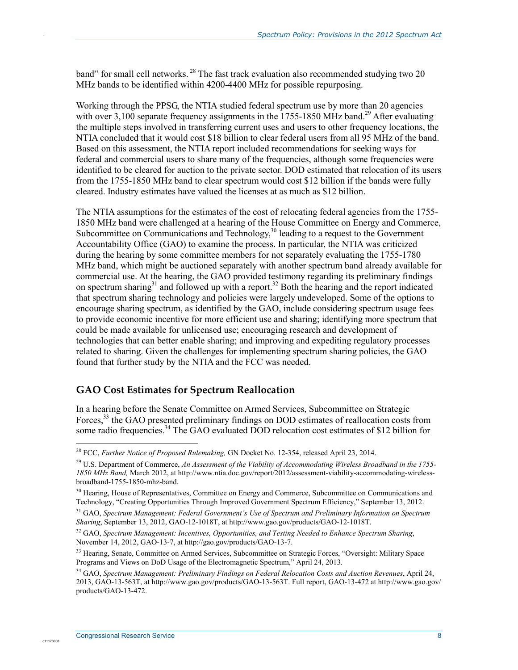band" for small cell networks. <sup>28</sup> The fast track evaluation also recommended studying two 20 MHz bands to be identified within 4200-4400 MHz for possible repurposing.

Working through the PPSG, the NTIA studied federal spectrum use by more than 20 agencies with over 3,100 separate frequency assignments in the 1755-1850 MHz band.<sup>29</sup> After evaluating the multiple steps involved in transferring current uses and users to other frequency locations, the NTIA concluded that it would cost \$18 billion to clear federal users from all 95 MHz of the band. Based on this assessment, the NTIA report included recommendations for seeking ways for federal and commercial users to share many of the frequencies, although some frequencies were identified to be cleared for auction to the private sector. DOD estimated that relocation of its users from the 1755-1850 MHz band to clear spectrum would cost \$12 billion if the bands were fully cleared. Industry estimates have valued the licenses at as much as \$12 billion.

The NTIA assumptions for the estimates of the cost of relocating federal agencies from the 1755- 1850 MHz band were challenged at a hearing of the House Committee on Energy and Commerce, Subcommittee on Communications and Technology, $30$  leading to a request to the Government Accountability Office (GAO) to examine the process. In particular, the NTIA was criticized during the hearing by some committee members for not separately evaluating the 1755-1780 MHz band, which might be auctioned separately with another spectrum band already available for commercial use. At the hearing, the GAO provided testimony regarding its preliminary findings on spectrum sharing $31$  and followed up with a report.<sup>32</sup> Both the hearing and the report indicated that spectrum sharing technology and policies were largely undeveloped. Some of the options to encourage sharing spectrum, as identified by the GAO, include considering spectrum usage fees to provide economic incentive for more efficient use and sharing; identifying more spectrum that could be made available for unlicensed use; encouraging research and development of technologies that can better enable sharing; and improving and expediting regulatory processes related to sharing. Given the challenges for implementing spectrum sharing policies, the GAO found that further study by the NTIA and the FCC was needed.

#### **GAO Cost Estimates for Spectrum Reallocation**

In a hearing before the Senate Committee on Armed Services, Subcommittee on Strategic Forces,<sup>33</sup> the GAO presented preliminary findings on DOD estimates of reallocation costs from some radio frequencies.<sup>34</sup> The GAO evaluated DOD relocation cost estimates of \$12 billion for

1

c1117300

<sup>28</sup> FCC, *Further Notice of Proposed Rulemaking,* GN Docket No. 12-354, released April 23, 2014.

<sup>29</sup> U.S. Department of Commerce, *An Assessment of the Viability of Accommodating Wireless Broadband in the 1755- 1850 MHz Band,* March 2012, at http://www.ntia.doc.gov/report/2012/assessment-viability-accommodating-wirelessbroadband-1755-1850-mhz-band.

<sup>&</sup>lt;sup>30</sup> Hearing, House of Representatives, Committee on Energy and Commerce, Subcommittee on Communications and Technology, "Creating Opportunities Through Improved Government Spectrum Efficiency," September 13, 2012.

<sup>31</sup> GAO, *Spectrum Management: Federal Government's Use of Spectrum and Preliminary Information on Spectrum Sharing*, September 13, 2012, GAO-12-1018T, at http://www.gao.gov/products/GAO-12-1018T.

<sup>32</sup> GAO, *Spectrum Management: Incentives, Opportunities, and Testing Needed to Enhance Spectrum Sharing*, November 14, 2012, GAO-13-7, at http://gao.gov/products/GAO-13-7.

<sup>&</sup>lt;sup>33</sup> Hearing, Senate, Committee on Armed Services, Subcommittee on Strategic Forces, "Oversight: Military Space Programs and Views on DoD Usage of the Electromagnetic Spectrum," April 24, 2013.

<sup>34</sup> GAO, *Spectrum Management: Preliminary Findings on Federal Relocation Costs and Auction Revenues*, April 24, 2013, GAO-13-563T, at http://www.gao.gov/products/GAO-13-563T. Full report, GAO-13-472 at http://www.gao.gov/ products/GAO-13-472.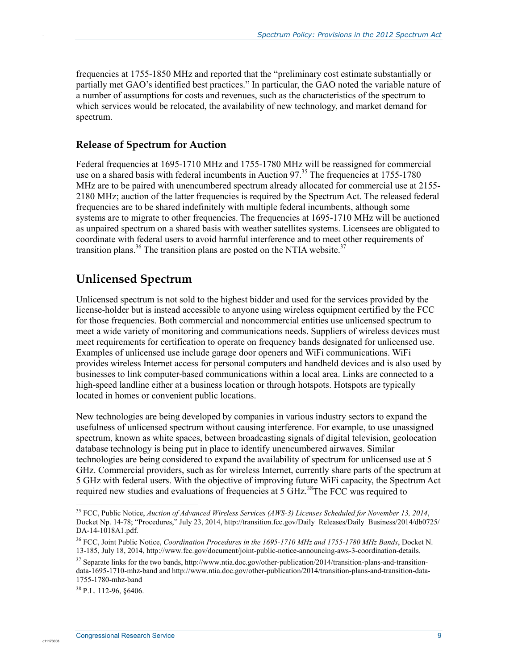frequencies at 1755-1850 MHz and reported that the "preliminary cost estimate substantially or partially met GAO's identified best practices." In particular, the GAO noted the variable nature of a number of assumptions for costs and revenues, such as the characteristics of the spectrum to which services would be relocated, the availability of new technology, and market demand for spectrum.

#### **Release of Spectrum for Auction**

Federal frequencies at 1695-1710 MHz and 1755-1780 MHz will be reassigned for commercial use on a shared basis with federal incumbents in Auction 97.<sup>35</sup> The frequencies at 1755-1780 MHz are to be paired with unencumbered spectrum already allocated for commercial use at 2155- 2180 MHz; auction of the latter frequencies is required by the Spectrum Act. The released federal frequencies are to be shared indefinitely with multiple federal incumbents, although some systems are to migrate to other frequencies. The frequencies at 1695-1710 MHz will be auctioned as unpaired spectrum on a shared basis with weather satellites systems. Licensees are obligated to coordinate with federal users to avoid harmful interference and to meet other requirements of transition plans.<sup>36</sup> The transition plans are posted on the NTIA website.<sup>37</sup>

## **Unlicensed Spectrum**

Unlicensed spectrum is not sold to the highest bidder and used for the services provided by the license-holder but is instead accessible to anyone using wireless equipment certified by the FCC for those frequencies. Both commercial and noncommercial entities use unlicensed spectrum to meet a wide variety of monitoring and communications needs. Suppliers of wireless devices must meet requirements for certification to operate on frequency bands designated for unlicensed use. Examples of unlicensed use include garage door openers and WiFi communications. WiFi provides wireless Internet access for personal computers and handheld devices and is also used by businesses to link computer-based communications within a local area. Links are connected to a high-speed landline either at a business location or through hotspots. Hotspots are typically located in homes or convenient public locations.

New technologies are being developed by companies in various industry sectors to expand the usefulness of unlicensed spectrum without causing interference. For example, to use unassigned spectrum, known as white spaces, between broadcasting signals of digital television, geolocation database technology is being put in place to identify unencumbered airwaves. Similar technologies are being considered to expand the availability of spectrum for unlicensed use at 5 GHz. Commercial providers, such as for wireless Internet, currently share parts of the spectrum at 5 GHz with federal users. With the objective of improving future WiFi capacity, the Spectrum Act required new studies and evaluations of frequencies at 5 GHz.<sup>38</sup>The FCC was required to

1

c1117300

<sup>35</sup> FCC, Public Notice, *Auction of Advanced Wireless Services (AWS-3) Licenses Scheduled for November 13, 2014*, Docket Np. 14-78; "Procedures," July 23, 2014, http://transition.fcc.gov/Daily\_Releases/Daily\_Business/2014/db0725/ DA-14-1018A1.pdf.

<sup>36</sup> FCC, Joint Public Notice, *Coordination Procedures in the 1695-1710 MHz and 1755-1780 MHz Bands*, Docket N. 13-185, July 18, 2014, http://www.fcc.gov/document/joint-public-notice-announcing-aws-3-coordination-details.

<sup>&</sup>lt;sup>37</sup> Separate links for the two bands, http://www.ntia.doc.gov/other-publication/2014/transition-plans-and-transitiondata-1695-1710-mhz-band and http://www.ntia.doc.gov/other-publication/2014/transition-plans-and-transition-data-1755-1780-mhz-band

 $38$  P.L. 112-96, 86406.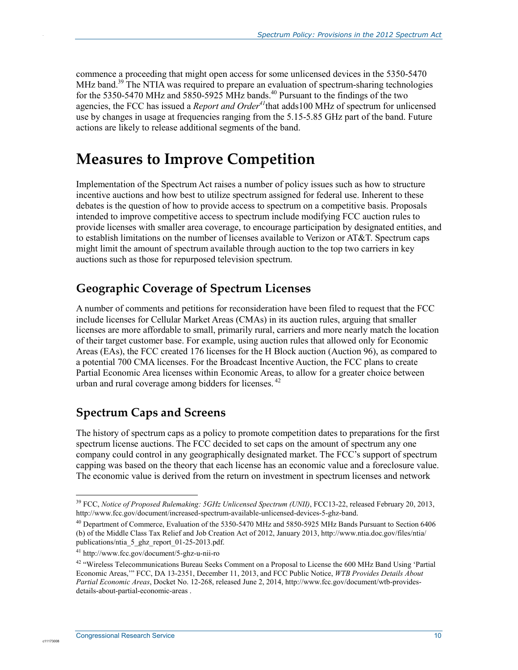commence a proceeding that might open access for some unlicensed devices in the 5350-5470 MHz band.<sup>39</sup> The NTIA was required to prepare an evaluation of spectrum-sharing technologies for the 5350-5470 MHz and 5850-5925 MHz bands.<sup>40</sup> Pursuant to the findings of the two agencies, the FCC has issued a *Report and Order*<sup>41</sup>that adds100 MHz of spectrum for unlicensed use by changes in usage at frequencies ranging from the 5.15-5.85 GHz part of the band. Future actions are likely to release additional segments of the band.

## **Measures to Improve Competition**

Implementation of the Spectrum Act raises a number of policy issues such as how to structure incentive auctions and how best to utilize spectrum assigned for federal use. Inherent to these debates is the question of how to provide access to spectrum on a competitive basis. Proposals intended to improve competitive access to spectrum include modifying FCC auction rules to provide licenses with smaller area coverage, to encourage participation by designated entities, and to establish limitations on the number of licenses available to Verizon or  $AT&T$ . Spectrum caps might limit the amount of spectrum available through auction to the top two carriers in key auctions such as those for repurposed television spectrum.

### **Geographic Coverage of Spectrum Licenses**

A number of comments and petitions for reconsideration have been filed to request that the FCC include licenses for Cellular Market Areas (CMAs) in its auction rules, arguing that smaller licenses are more affordable to small, primarily rural, carriers and more nearly match the location of their target customer base. For example, using auction rules that allowed only for Economic Areas (EAs), the FCC created 176 licenses for the H Block auction (Auction 96), as compared to a potential 700 CMA licenses. For the Broadcast Incentive Auction, the FCC plans to create Partial Economic Area licenses within Economic Areas, to allow for a greater choice between urban and rural coverage among bidders for licenses.<sup>42</sup>

## **Spectrum Caps and Screens**

The history of spectrum caps as a policy to promote competition dates to preparations for the first spectrum license auctions. The FCC decided to set caps on the amount of spectrum any one company could control in any geographically designated market. The FCC's support of spectrum capping was based on the theory that each license has an economic value and a foreclosure value. The economic value is derived from the return on investment in spectrum licenses and network

1

c1117300

<sup>&</sup>lt;sup>39</sup> FCC, *Notice of Proposed Rulemaking: 5GHz Unlicensed Spectrum (UNII)*, FCC13-22, released February 20, 2013, http://www.fcc.gov/document/increased-spectrum-available-unlicensed-devices-5-ghz-band.

<sup>40</sup> Department of Commerce, Evaluation of the 5350-5470 MHz and 5850-5925 MHz Bands Pursuant to Section 6406 (b) of the Middle Class Tax Relief and Job Creation Act of 2012, January 2013, http://www.ntia.doc.gov/files/ntia/ publications/ntia\_5\_ghz\_report\_01-25-2013.pdf.

<sup>41</sup> http://www.fcc.gov/document/5-ghz-u-nii-ro

<sup>&</sup>lt;sup>42</sup> "Wireless Telecommunications Bureau Seeks Comment on a Proposal to License the 600 MHz Band Using 'Partial Economic Areas,'" FCC, DA 13-2351, December 11, 2013, and FCC Public Notice, *WTB Provides Details About Partial Economic Areas*, Docket No. 12-268, released June 2, 2014, http://www.fcc.gov/document/wtb-providesdetails-about-partial-economic-areas .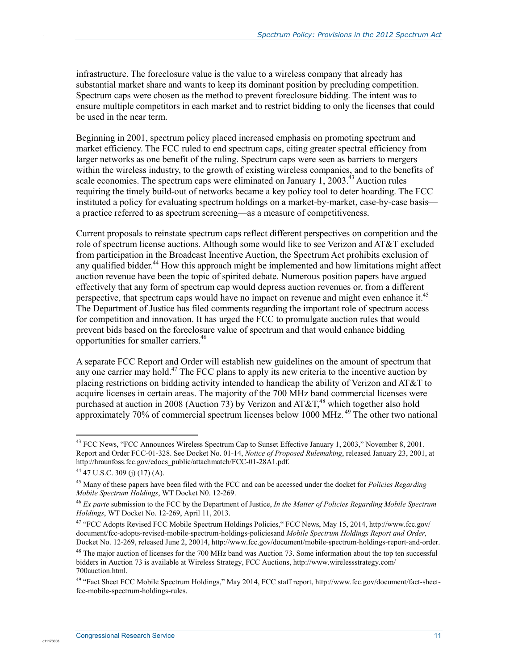infrastructure. The foreclosure value is the value to a wireless company that already has substantial market share and wants to keep its dominant position by precluding competition. Spectrum caps were chosen as the method to prevent foreclosure bidding. The intent was to ensure multiple competitors in each market and to restrict bidding to only the licenses that could be used in the near term.

Beginning in 2001, spectrum policy placed increased emphasis on promoting spectrum and market efficiency. The FCC ruled to end spectrum caps, citing greater spectral efficiency from larger networks as one benefit of the ruling. Spectrum caps were seen as barriers to mergers within the wireless industry, to the growth of existing wireless companies, and to the benefits of scale economies. The spectrum caps were eliminated on January 1, 2003.<sup>43</sup> Auction rules requiring the timely build-out of networks became a key policy tool to deter hoarding. The FCC instituted a policy for evaluating spectrum holdings on a market-by-market, case-by-case basis a practice referred to as spectrum screening—as a measure of competitiveness.

Current proposals to reinstate spectrum caps reflect different perspectives on competition and the role of spectrum license auctions. Although some would like to see Verizon and AT&T excluded from participation in the Broadcast Incentive Auction, the Spectrum Act prohibits exclusion of any qualified bidder.<sup>44</sup> How this approach might be implemented and how limitations might affect auction revenue have been the topic of spirited debate. Numerous position papers have argued effectively that any form of spectrum cap would depress auction revenues or, from a different perspective, that spectrum caps would have no impact on revenue and might even enhance it.<sup>45</sup> The Department of Justice has filed comments regarding the important role of spectrum access for competition and innovation. It has urged the FCC to promulgate auction rules that would prevent bids based on the foreclosure value of spectrum and that would enhance bidding opportunities for smaller carriers.46

A separate FCC Report and Order will establish new guidelines on the amount of spectrum that any one carrier may hold.<sup>47</sup> The FCC plans to apply its new criteria to the incentive auction by placing restrictions on bidding activity intended to handicap the ability of Verizon and AT&T to acquire licenses in certain areas. The majority of the 700 MHz band commercial licenses were purchased at auction in 2008 (Auction 73) by Verizon and AT&T,<sup>48</sup> which together also hold approximately 70% of commercial spectrum licenses below 1000 MHz.<sup>49</sup> The other two national

<u>.</u>

c11173008

<sup>&</sup>lt;sup>43</sup> FCC News, "FCC Announces Wireless Spectrum Cap to Sunset Effective January 1, 2003," November 8, 2001. Report and Order FCC-01-328. See Docket No. 01-14, *Notice of Proposed Rulemaking*, released January 23, 2001, at http://hraunfoss.fcc.gov/edocs\_public/attachmatch/FCC-01-28A1.pdf.

<sup>44 47</sup> U.S.C. 309 (j) (17) (A).

<sup>45</sup> Many of these papers have been filed with the FCC and can be accessed under the docket for *Policies Regarding Mobile Spectrum Holdings*, WT Docket N0. 12-269.

<sup>46</sup> *Ex parte* submission to the FCC by the Department of Justice, *In the Matter of Policies Regarding Mobile Spectrum Holdings*, WT Docket No. 12-269, April 11, 2013.

<sup>47 &</sup>quot;FCC Adopts Revised FCC Mobile Spectrum Holdings Policies," FCC News, May 15, 2014, http://www.fcc.gov/ document/fcc-adopts-revised-mobile-spectrum-holdings-policiesand *Mobile Spectrum Holdings Report and Order,*  Docket No. 12-269, released June 2, 20014, http://www.fcc.gov/document/mobile-spectrum-holdings-report-and-order.

 $48$  The major auction of licenses for the 700 MHz band was Auction 73. Some information about the top ten successful bidders in Auction 73 is available at Wireless Strategy, FCC Auctions, http://www.wirelessstrategy.com/ 700auction.html.

<sup>&</sup>lt;sup>49</sup> "Fact Sheet FCC Mobile Spectrum Holdings," May 2014, FCC staff report, http://www.fcc.gov/document/fact-sheetfcc-mobile-spectrum-holdings-rules.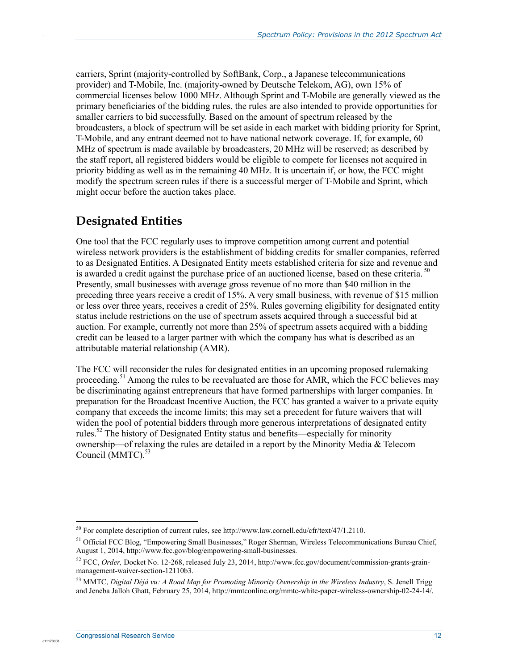carriers, Sprint (majority-controlled by SoftBank, Corp., a Japanese telecommunications provider) and T-Mobile, Inc. (majority-owned by Deutsche Telekom, AG), own 15% of commercial licenses below 1000 MHz. Although Sprint and T-Mobile are generally viewed as the primary beneficiaries of the bidding rules, the rules are also intended to provide opportunities for smaller carriers to bid successfully. Based on the amount of spectrum released by the broadcasters, a block of spectrum will be set aside in each market with bidding priority for Sprint, T-Mobile, and any entrant deemed not to have national network coverage. If, for example, 60 MHz of spectrum is made available by broadcasters, 20 MHz will be reserved; as described by the staff report, all registered bidders would be eligible to compete for licenses not acquired in priority bidding as well as in the remaining 40 MHz. It is uncertain if, or how, the FCC might modify the spectrum screen rules if there is a successful merger of T-Mobile and Sprint, which might occur before the auction takes place.

## **Designated Entities**

.

One tool that the FCC regularly uses to improve competition among current and potential wireless network providers is the establishment of bidding credits for smaller companies, referred to as Designated Entities. A Designated Entity meets established criteria for size and revenue and is awarded a credit against the purchase price of an auctioned license, based on these criteria.  $^{50}$ Presently, small businesses with average gross revenue of no more than \$40 million in the preceding three years receive a credit of 15%. A very small business, with revenue of \$15 million or less over three years, receives a credit of 25%. Rules governing eligibility for designated entity status include restrictions on the use of spectrum assets acquired through a successful bid at auction. For example, currently not more than 25% of spectrum assets acquired with a bidding credit can be leased to a larger partner with which the company has what is described as an attributable material relationship (AMR).

The FCC will reconsider the rules for designated entities in an upcoming proposed rulemaking proceeding.<sup>51</sup> Among the rules to be reevaluated are those for AMR, which the FCC believes may be discriminating against entrepreneurs that have formed partnerships with larger companies. In preparation for the Broadcast Incentive Auction, the FCC has granted a waiver to a private equity company that exceeds the income limits; this may set a precedent for future waivers that will widen the pool of potential bidders through more generous interpretations of designated entity rules.52 The history of Designated Entity status and benefits—especially for minority ownership—of relaxing the rules are detailed in a report by the Minority Media & Telecom Council (MMTC).<sup>53</sup>

1

 $^{50}$  For complete description of current rules, see http://www.law.cornell.edu/cfr/text/47/1.2110.

<sup>&</sup>lt;sup>51</sup> Official FCC Blog, "Empowering Small Businesses," Roger Sherman, Wireless Telecommunications Bureau Chief, August 1, 2014, http://www.fcc.gov/blog/empowering-small-businesses.

<sup>52</sup> FCC, *Order,* Docket No. 12-268, released July 23, 2014, http://www.fcc.gov/document/commission-grants-grainmanagement-waiver-section-12110b3.

<sup>53</sup> MMTC, *Digital Déjà vu: A Road Map for Promoting Minority Ownership in the Wireless Industry*, S. Jenell Trigg and Jeneba Jalloh Ghatt, February 25, 2014, http://mmtconline.org/mmtc-white-paper-wireless-ownership-02-24-14/.